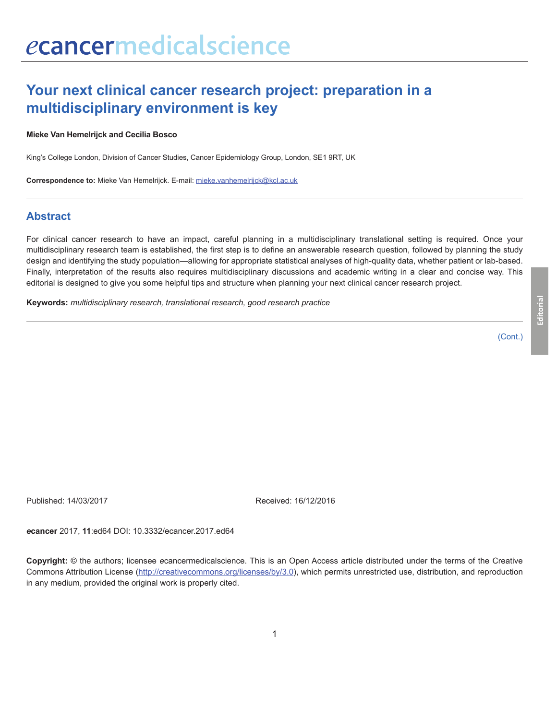# **Your next clinical cancer research project: preparation in a multidisciplinary environment is key**

#### **Mieke Van Hemelrijck and Cecilia Bosco**

King's College London, Division of Cancer Studies, Cancer Epidemiology Group, London, SE1 9RT, UK

**Correspondence to:** Mieke Van Hemelrijck. E-mail: mieke.vanhemelrijck@kcl.ac.uk

### **Abstract**

For clinical cancer research to have an impact, careful planning in a multidisciplinary translational setting is required. Once your multidisciplinary research team is established, the first step is to define an answerable research question, followed by planning the study design and identifying the study population—allowing for appropriate statistical analyses of high-quality data, whether patient or lab-based. Finally, interpretation of the results also requires multidisciplinary discussions and academic writing in a clear and concise way. This editorial is designed to give you some helpful tips and structure when planning your next clinical cancer research project.

**Keywords:** *multidisciplinary research, translational research, good research practice*

(Cont.)

Published: 14/03/2017 Received: 16/12/2016

*e***cancer** 2017, **11**:ed64 DOI: 10.3332/ecancer.2017.ed64

**Copyright:** © the authors; licensee *e*cancermedicalscience. This is an Open Access article distributed under the terms of the Creative Commons Attribution License (http://creativecommons.org/licenses/by/3.0), which permits unrestricted use, distribution, and reproduction in any medium, provided the original work is properly cited.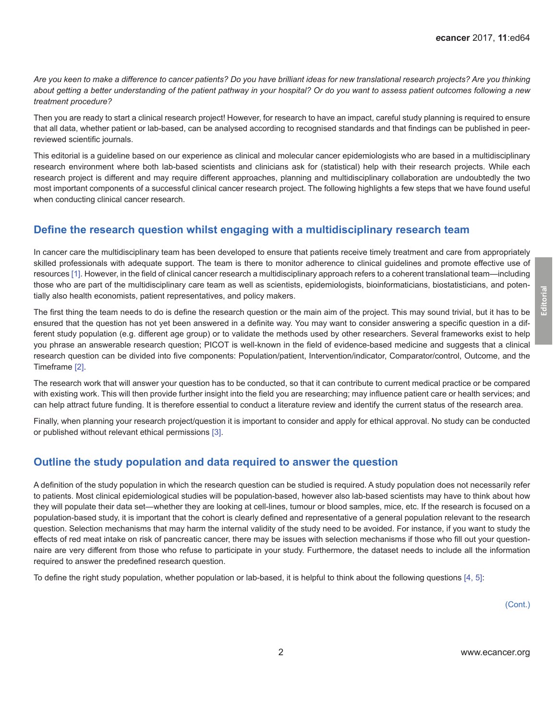*Are you keen to make a difference to cancer patients? Do you have brilliant ideas for new translational research projects? Are you thinking about getting a better understanding of the patient pathway in your hospital? Or do you want to assess patient outcomes following a new treatment procedure?*

Then you are ready to start a clinical research project! However, for research to have an impact, careful study planning is required to ensure that all data, whether patient or lab-based, can be analysed according to recognised standards and that findings can be published in peerreviewed scientific journals.

This editorial is a guideline based on our experience as clinical and molecular cancer epidemiologists who are based in a multidisciplinary research environment where both lab-based scientists and clinicians ask for (statistical) help with their research projects. While each research project is different and may require different approaches, planning and multidisciplinary collaboration are undoubtedly the two most important components of a successful clinical cancer research project. The following highlights a few steps that we have found useful when conducting clinical cancer research.

# **Define the research question whilst engaging with a multidisciplinary research team**

In cancer care the multidisciplinary team has been developed to ensure that patients receive timely treatment and care from appropriately skilled professionals with adequate support. The team is there to monitor adherence to clinical guidelines and promote effective use of resources [\[1\]](#page-4-0). However, in the field of clinical cancer research a multidisciplinary approach refers to a coherent translational team—including those who are part of the multidisciplinary care team as well as scientists, epidemiologists, bioinformaticians, biostatisticians, and potentially also health economists, patient representatives, and policy makers.

The first thing the team needs to do is define the research question or the main aim of the project. This may sound trivial, but it has to be ensured that the question has not yet been answered in a definite way. You may want to consider answering a specific question in a different study population (e.g. different age group) or to validate the methods used by other researchers. Several frameworks exist to help you phrase an answerable research question; PICOT is well-known in the field of evidence-based medicine and suggests that a clinical research question can be divided into five components: Population/patient, Intervention/indicator, Comparator/control, Outcome, and the Timeframe [\[2\]](#page-4-0).

The research work that will answer your question has to be conducted, so that it can contribute to current medical practice or be compared with existing work. This will then provide further insight into the field you are researching; may influence patient care or health services; and can help attract future funding. It is therefore essential to conduct a literature review and identify the current status of the research area.

Finally, when planning your research project/question it is important to consider and apply for ethical approval. No study can be conducted or published without relevant ethical permissions [\[3\]](#page-4-0).

# **Outline the study population and data required to answer the question**

A definition of the study population in which the research question can be studied is required. A study population does not necessarily refer to patients. Most clinical epidemiological studies will be population-based, however also lab-based scientists may have to think about how they will populate their data set—whether they are looking at cell-lines, tumour or blood samples, mice, etc. If the research is focused on a population-based study, it is important that the cohort is clearly defined and representative of a general population relevant to the research question. Selection mechanisms that may harm the internal validity of the study need to be avoided. For instance, if you want to study the effects of red meat intake on risk of pancreatic cancer, there may be issues with selection mechanisms if those who fill out your questionnaire are very different from those who refuse to participate in your study. Furthermore, the dataset needs to include all the information required to answer the predefined research question.

To define the right study population, whether population or lab-based, it is helpful to think about the following questions [\[4,](#page-4-0) [5\]](#page-4-0):

(Cont.)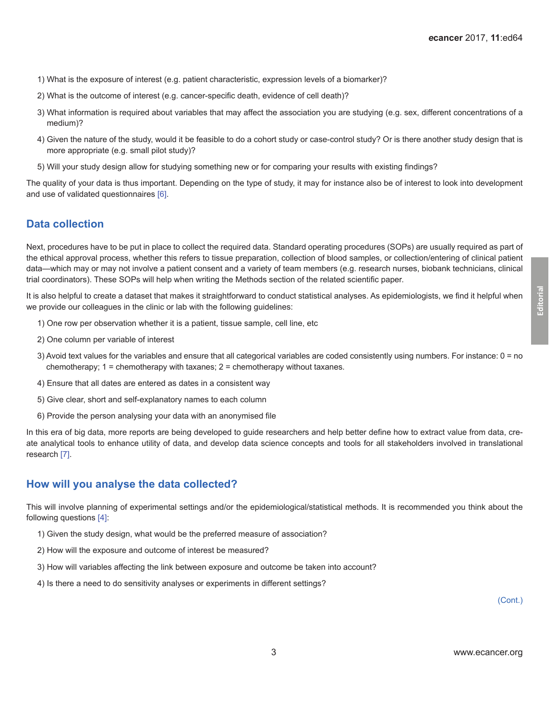- 1) What is the exposure of interest (e.g. patient characteristic, expression levels of a biomarker)?
- 2) What is the outcome of interest (e.g. cancer-specific death, evidence of cell death)?
- 3) What information is required about variables that may affect the association you are studying (e.g. sex, different concentrations of a medium)?
- 4) Given the nature of the study, would it be feasible to do a cohort study or case-control study? Or is there another study design that is more appropriate (e.g. small pilot study)?
- 5) Will your study design allow for studying something new or for comparing your results with existing findings?

The quality of your data is thus important. Depending on the type of study, it may for instance also be of interest to look into development and use of validated questionnaires [\[6\]](#page-4-0).

# **Data collection**

Next, procedures have to be put in place to collect the required data. Standard operating procedures (SOPs) are usually required as part of the ethical approval process, whether this refers to tissue preparation, collection of blood samples, or collection/entering of clinical patient data—which may or may not involve a patient consent and a variety of team members (e.g. research nurses, biobank technicians, clinical trial coordinators). These SOPs will help when writing the Methods section of the related scientific paper.

It is also helpful to create a dataset that makes it straightforward to conduct statistical analyses. As epidemiologists, we find it helpful when we provide our colleagues in the clinic or lab with the following guidelines:

- 1) One row per observation whether it is a patient, tissue sample, cell line, etc
- 2) One column per variable of interest
- 3) Avoid text values for the variables and ensure that all categorical variables are coded consistently using numbers. For instance: 0 = no chemotherapy;  $1 =$  chemotherapy with taxanes;  $2 =$  chemotherapy without taxanes.
- 4) Ensure that all dates are entered as dates in a consistent way
- 5) Give clear, short and self-explanatory names to each column
- 6) Provide the person analysing your data with an anonymised file

In this era of big data, more reports are being developed to guide researchers and help better define how to extract value from data, create analytical tools to enhance utility of data, and develop data science concepts and tools for all stakeholders involved in translational research [\[7\].](#page-4-0)

# **How will you analyse the data collected?**

This will involve planning of experimental settings and/or the epidemiological/statistical methods. It is recommended you think about the following questions [\[4\]:](#page-4-0)

- 1) Given the study design, what would be the preferred measure of association?
- 2) How will the exposure and outcome of interest be measured?
- 3) How will variables affecting the link between exposure and outcome be taken into account?
- 4) Is there a need to do sensitivity analyses or experiments in different settings?

**Editorial**

(Cont.)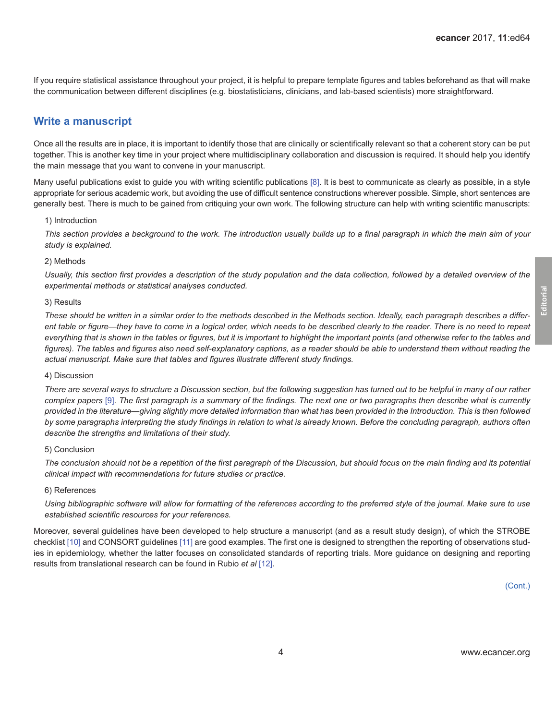If you require statistical assistance throughout your project, it is helpful to prepare template figures and tables beforehand as that will make the communication between different disciplines (e.g. biostatisticians, clinicians, and lab-based scientists) more straightforward.

### **Write a manuscript**

Once all the results are in place, it is important to identify those that are clinically or scientifically relevant so that a coherent story can be put together. This is another key time in your project where multidisciplinary collaboration and discussion is required. It should help you identify the main message that you want to convene in your manuscript.

Many useful publications exist to guide you with writing scientific publications [\[8\]](#page-4-0). It is best to communicate as clearly as possible, in a style appropriate for serious academic work, but avoiding the use of difficult sentence constructions wherever possible. Simple, short sentences are generally best. There is much to be gained from critiquing your own work. The following structure can help with writing scientific manuscripts:

#### 1) Introduction

*This section provides a background to the work. The introduction usually builds up to a final paragraph in which the main aim of your study is explained.* 

#### 2) Methods

Usually, this section first provides a description of the study population and the data collection, followed by a detailed overview of the *experimental methods or statistical analyses conducted.* 

#### 3) Results

*These should be written in a similar order to the methods described in the Methods section. Ideally, each paragraph describes a different table or figure*—*they have to come in a logical order, which needs to be described clearly to the reader. There is no need to repeat everything that is shown in the tables or figures, but it is important to highlight the important points (and otherwise refer to the tables and*  figures). The tables and figures also need self-explanatory captions, as a reader should be able to understand them without reading the *actual manuscript. Make sure that tables and figures illustrate different study findings.* 

#### 4) Discussion

*There are several ways to structure a Discussion section, but the following suggestion has turned out to be helpful in many of our rather complex papers* [\[9\]](#page-4-0)*. The first paragraph is a summary of the findings. The next one or two paragraphs then describe what is currently provided in the literature*—*giving slightly more detailed information than what has been provided in the Introduction. This is then followed by some paragraphs interpreting the study findings in relation to what is already known. Before the concluding paragraph, authors often describe the strengths and limitations of their study.* 

#### 5) Conclusion

*The conclusion should not be a repetition of the first paragraph of the Discussion, but should focus on the main finding and its potential clinical impact with recommendations for future studies or practice.* 

#### 6) References

*Using bibliographic software will allow for formatting of the references according to the preferred style of the journal. Make sure to use established scientific resources for your references.*

Moreover, several guidelines have been developed to help structure a manuscript (and as a result study design), of which the STROBE checklist [\[10\]](#page-4-0) and CONSORT guidelines [\[11\]](#page-4-0) are good examples. The first one is designed to strengthen the reporting of observations studies in epidemiology, whether the latter focuses on consolidated standards of reporting trials. More guidance on designing and reporting results from translational research can be found in Rubio *et al* [\[12\].](#page-4-0)

(Cont.)